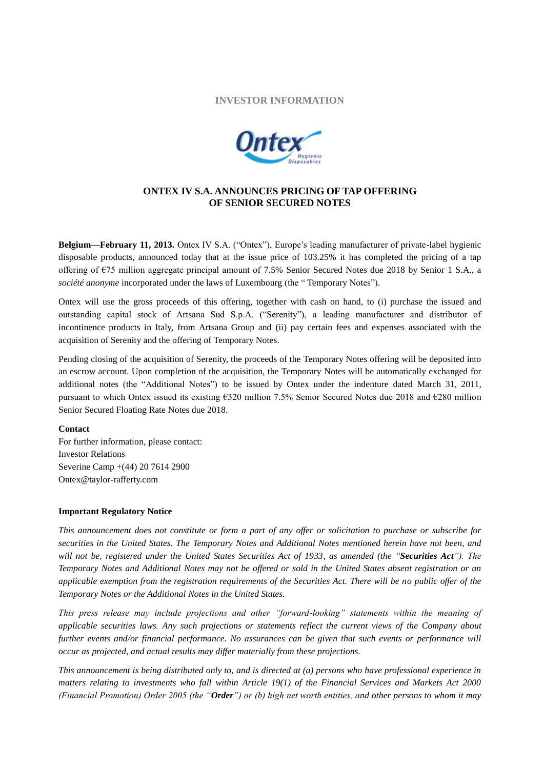## **INVESTOR INFORMATION**



## **ONTEX IV S.A. ANNOUNCES PRICING OF TAP OFFERING OF SENIOR SECURED NOTES**

**Belgium—February 11, 2013.** Ontex IV S.A. ("Ontex"), Europe's leading manufacturer of private-label hygienic disposable products, announced today that at the issue price of 103.25% it has completed the pricing of a tap offering of €75 million aggregate principal amount of 7.5% Senior Secured Notes due 2018 by Senior 1 S.A., a *société anonyme* incorporated under the laws of Luxembourg (the " Temporary Notes").

Ontex will use the gross proceeds of this offering, together with cash on hand, to (i) purchase the issued and outstanding capital stock of Artsana Sud S.p.A. ("Serenity"), a leading manufacturer and distributor of incontinence products in Italy, from Artsana Group and (ii) pay certain fees and expenses associated with the acquisition of Serenity and the offering of Temporary Notes.

Pending closing of the acquisition of Serenity, the proceeds of the Temporary Notes offering will be deposited into an escrow account. Upon completion of the acquisition, the Temporary Notes will be automatically exchanged for additional notes (the "Additional Notes") to be issued by Ontex under the indenture dated March 31, 2011, pursuant to which Ontex issued its existing €320 million 7.5% Senior Secured Notes due 2018 and €280 million Senior Secured Floating Rate Notes due 2018.

## **Contact**

For further information, please contact: Investor Relations Severine Camp +(44) 20 7614 2900 Ontex@taylor-rafferty.com

## **Important Regulatory Notice**

*This announcement does not constitute or form a part of any offer or solicitation to purchase or subscribe for securities in the United States. The Temporary Notes and Additional Notes mentioned herein have not been, and will not be, registered under the United States Securities Act of 1933, as amended (the "Securities Act"). The Temporary Notes and Additional Notes may not be offered or sold in the United States absent registration or an applicable exemption from the registration requirements of the Securities Act. There will be no public offer of the Temporary Notes or the Additional Notes in the United States.*

*This press release may include projections and other "forward-looking" statements within the meaning of applicable securities laws. Any such projections or statements reflect the current views of the Company about further events and/or financial performance. No assurances can be given that such events or performance will occur as projected, and actual results may differ materially from these projections.*

*This announcement is being distributed only to, and is directed at (a) persons who have professional experience in matters relating to investments who fall within Article 19(1) of the Financial Services and Markets Act 2000 (Financial Promotion) Order 2005 (the "Order") or (b) high net worth entities, and other persons to whom it may*